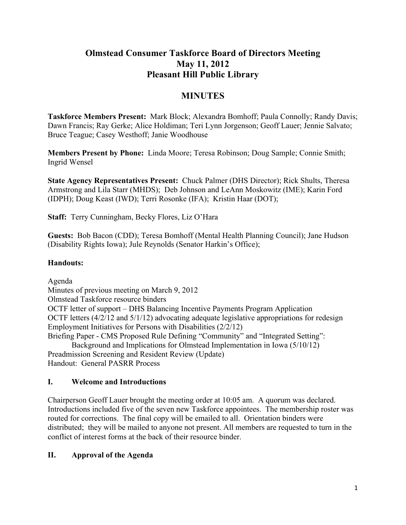# **Olmstead Consumer Taskforce Board of Directors Meeting May 11, 2012 Pleasant Hill Public Library**

# **MINUTES**

**Taskforce Members Present:** Mark Block; Alexandra Bomhoff; Paula Connolly; Randy Davis; Dawn Francis; Ray Gerke; Alice Holdiman; Teri Lynn Jorgenson; Geoff Lauer; Jennie Salvato; Bruce Teague; Casey Westhoff; Janie Woodhouse

**Members Present by Phone:** Linda Moore; Teresa Robinson; Doug Sample; Connie Smith; Ingrid Wensel

**State Agency Representatives Present:** Chuck Palmer (DHS Director); Rick Shults, Theresa Armstrong and Lila Starr (MHDS); Deb Johnson and LeAnn Moskowitz (IME); Karin Ford (IDPH); Doug Keast (IWD); Terri Rosonke (IFA); Kristin Haar (DOT);

**Staff:** Terry Cunningham, Becky Flores, Liz O'Hara

**Guests:** Bob Bacon (CDD); Teresa Bomhoff (Mental Health Planning Council); Jane Hudson (Disability Rights Iowa); Jule Reynolds (Senator Harkin's Office);

### **Handouts:**

Agenda

Minutes of previous meeting on March 9, 2012 Olmstead Taskforce resource binders OCTF letter of support – DHS Balancing Incentive Payments Program Application OCTF letters (4/2/12 and 5/1/12) advocating adequate legislative appropriations for redesign Employment Initiatives for Persons with Disabilities (2/2/12)

Briefing Paper - CMS Proposed Rule Defining "Community" and "Integrated Setting":

Background and Implications for Olmstead Implementation in Iowa (5/10/12) Preadmission Screening and Resident Review (Update)

Handout: General PASRR Process

### **I. Welcome and Introductions**

Chairperson Geoff Lauer brought the meeting order at 10:05 am. A quorum was declared. Introductions included five of the seven new Taskforce appointees. The membership roster was routed for corrections. The final copy will be emailed to all. Orientation binders were distributed; they will be mailed to anyone not present. All members are requested to turn in the conflict of interest forms at the back of their resource binder.

### **II. Approval of the Agenda**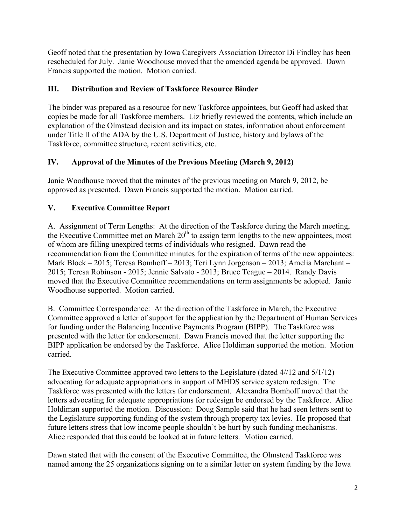Geoff noted that the presentation by Iowa Caregivers Association Director Di Findley has been rescheduled for July. Janie Woodhouse moved that the amended agenda be approved. Dawn Francis supported the motion. Motion carried.

### **III. Distribution and Review of Taskforce Resource Binder**

The binder was prepared as a resource for new Taskforce appointees, but Geoff had asked that copies be made for all Taskforce members. Liz briefly reviewed the contents, which include an explanation of the Olmstead decision and its impact on states, information about enforcement under Title II of the ADA by the U.S. Department of Justice, history and bylaws of the Taskforce, committee structure, recent activities, etc.

## **IV. Approval of the Minutes of the Previous Meeting (March 9, 2012)**

Janie Woodhouse moved that the minutes of the previous meeting on March 9, 2012, be approved as presented. Dawn Francis supported the motion. Motion carried.

## **V. Executive Committee Report**

A. Assignment of Term Lengths: At the direction of the Taskforce during the March meeting, the Executive Committee met on March  $20<sup>th</sup>$  to assign term lengths to the new appointees, most of whom are filling unexpired terms of individuals who resigned. Dawn read the recommendation from the Committee minutes for the expiration of terms of the new appointees: Mark Block – 2015; Teresa Bomhoff – 2013; Teri Lynn Jorgenson – 2013; Amelia Marchant – 2015; Teresa Robinson - 2015; Jennie Salvato - 2013; Bruce Teague – 2014. Randy Davis moved that the Executive Committee recommendations on term assignments be adopted. Janie Woodhouse supported. Motion carried.

B. Committee Correspondence: At the direction of the Taskforce in March, the Executive Committee approved a letter of support for the application by the Department of Human Services for funding under the Balancing Incentive Payments Program (BIPP). The Taskforce was presented with the letter for endorsement. Dawn Francis moved that the letter supporting the BIPP application be endorsed by the Taskforce. Alice Holdiman supported the motion. Motion carried.

The Executive Committee approved two letters to the Legislature (dated 4//12 and 5/1/12) advocating for adequate appropriations in support of MHDS service system redesign. The Taskforce was presented with the letters for endorsement. Alexandra Bomhoff moved that the letters advocating for adequate appropriations for redesign be endorsed by the Taskforce. Alice Holdiman supported the motion. Discussion: Doug Sample said that he had seen letters sent to the Legislature supporting funding of the system through property tax levies. He proposed that future letters stress that low income people shouldn't be hurt by such funding mechanisms. Alice responded that this could be looked at in future letters. Motion carried.

Dawn stated that with the consent of the Executive Committee, the Olmstead Taskforce was named among the 25 organizations signing on to a similar letter on system funding by the Iowa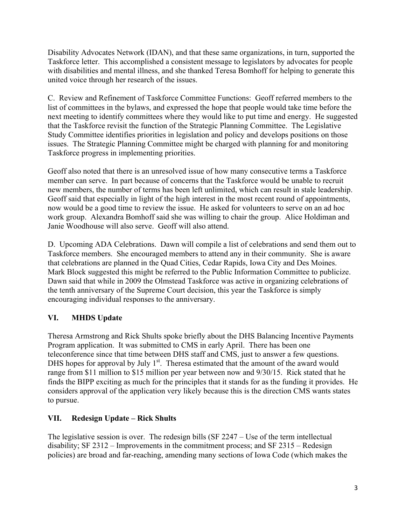Disability Advocates Network (IDAN), and that these same organizations, in turn, supported the Taskforce letter. This accomplished a consistent message to legislators by advocates for people with disabilities and mental illness, and she thanked Teresa Bomhoff for helping to generate this united voice through her research of the issues.

C. Review and Refinement of Taskforce Committee Functions: Geoff referred members to the list of committees in the bylaws, and expressed the hope that people would take time before the next meeting to identify committees where they would like to put time and energy. He suggested that the Taskforce revisit the function of the Strategic Planning Committee. The Legislative Study Committee identifies priorities in legislation and policy and develops positions on those issues. The Strategic Planning Committee might be charged with planning for and monitoring Taskforce progress in implementing priorities.

Geoff also noted that there is an unresolved issue of how many consecutive terms a Taskforce member can serve. In part because of concerns that the Taskforce would be unable to recruit new members, the number of terms has been left unlimited, which can result in stale leadership. Geoff said that especially in light of the high interest in the most recent round of appointments, now would be a good time to review the issue. He asked for volunteers to serve on an ad hoc work group. Alexandra Bomhoff said she was willing to chair the group. Alice Holdiman and Janie Woodhouse will also serve. Geoff will also attend.

D. Upcoming ADA Celebrations. Dawn will compile a list of celebrations and send them out to Taskforce members. She encouraged members to attend any in their community. She is aware that celebrations are planned in the Quad Cities, Cedar Rapids, Iowa City and Des Moines. Mark Block suggested this might be referred to the Public Information Committee to publicize. Dawn said that while in 2009 the Olmstead Taskforce was active in organizing celebrations of the tenth anniversary of the Supreme Court decision, this year the Taskforce is simply encouraging individual responses to the anniversary.

## **VI. MHDS Update**

Theresa Armstrong and Rick Shults spoke briefly about the DHS Balancing Incentive Payments Program application. It was submitted to CMS in early April. There has been one teleconference since that time between DHS staff and CMS, just to answer a few questions. DHS hopes for approval by July  $1<sup>st</sup>$ . Theresa estimated that the amount of the award would range from \$11 million to \$15 million per year between now and 9/30/15. Rick stated that he finds the BIPP exciting as much for the principles that it stands for as the funding it provides. He considers approval of the application very likely because this is the direction CMS wants states to pursue.

## **VII. Redesign Update – Rick Shults**

The legislative session is over. The redesign bills (SF 2247 – Use of the term intellectual disability; SF 2312 – Improvements in the commitment process; and SF 2315 – Redesign policies) are broad and far-reaching, amending many sections of Iowa Code (which makes the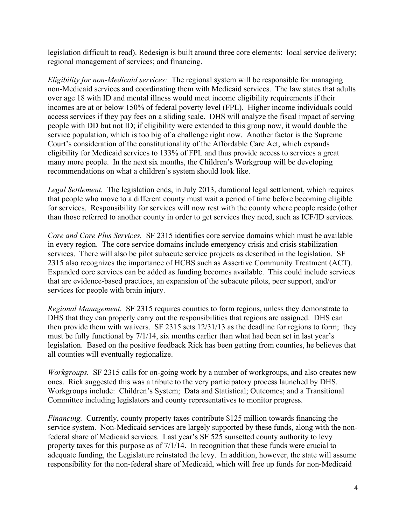legislation difficult to read). Redesign is built around three core elements: local service delivery; regional management of services; and financing.

*Eligibility for non-Medicaid services:* The regional system will be responsible for managing non-Medicaid services and coordinating them with Medicaid services. The law states that adults over age 18 with ID and mental illness would meet income eligibility requirements if their incomes are at or below 150% of federal poverty level (FPL). Higher income individuals could access services if they pay fees on a sliding scale. DHS will analyze the fiscal impact of serving people with DD but not ID; if eligibility were extended to this group now, it would double the service population, which is too big of a challenge right now. Another factor is the Supreme Court's consideration of the constitutionality of the Affordable Care Act, which expands eligibility for Medicaid services to 133% of FPL and thus provide access to services a great many more people. In the next six months, the Children's Workgroup will be developing recommendations on what a children's system should look like.

*Legal Settlement.* The legislation ends, in July 2013, durational legal settlement, which requires that people who move to a different county must wait a period of time before becoming eligible for services. Responsibility for services will now rest with the county where people reside (other than those referred to another county in order to get services they need, such as ICF/ID services.

*Core and Core Plus Services.* SF 2315 identifies core service domains which must be available in every region. The core service domains include emergency crisis and crisis stabilization services. There will also be pilot subacute service projects as described in the legislation. SF 2315 also recognizes the importance of HCBS such as Assertive Community Treatment (ACT). Expanded core services can be added as funding becomes available. This could include services that are evidence-based practices, an expansion of the subacute pilots, peer support, and/or services for people with brain injury.

*Regional Management.* SF 2315 requires counties to form regions, unless they demonstrate to DHS that they can properly carry out the responsibilities that regions are assigned. DHS can then provide them with waivers. SF 2315 sets 12/31/13 as the deadline for regions to form; they must be fully functional by 7/1/14, six months earlier than what had been set in last year's legislation. Based on the positive feedback Rick has been getting from counties, he believes that all counties will eventually regionalize.

*Workgroups.* SF 2315 calls for on-going work by a number of workgroups, and also creates new ones. Rick suggested this was a tribute to the very participatory process launched by DHS. Workgroups include: Children's System; Data and Statistical; Outcomes; and a Transitional Committee including legislators and county representatives to monitor progress.

*Financing.* Currently, county property taxes contribute \$125 million towards financing the service system. Non-Medicaid services are largely supported by these funds, along with the nonfederal share of Medicaid services. Last year's SF 525 sunsetted county authority to levy property taxes for this purpose as of 7/1/14. In recognition that these funds were crucial to adequate funding, the Legislature reinstated the levy. In addition, however, the state will assume responsibility for the non-federal share of Medicaid, which will free up funds for non-Medicaid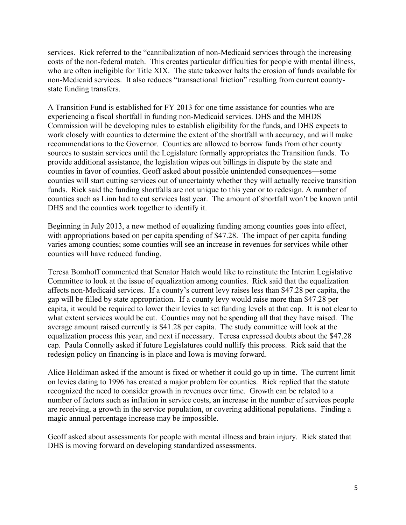services. Rick referred to the "cannibalization of non-Medicaid services through the increasing costs of the non-federal match. This creates particular difficulties for people with mental illness, who are often ineligible for Title XIX. The state takeover halts the erosion of funds available for non-Medicaid services. It also reduces "transactional friction" resulting from current countystate funding transfers.

A Transition Fund is established for FY 2013 for one time assistance for counties who are experiencing a fiscal shortfall in funding non-Medicaid services. DHS and the MHDS Commission will be developing rules to establish eligibility for the funds, and DHS expects to work closely with counties to determine the extent of the shortfall with accuracy, and will make recommendations to the Governor. Counties are allowed to borrow funds from other county sources to sustain services until the Legislature formally appropriates the Transition funds. To provide additional assistance, the legislation wipes out billings in dispute by the state and counties in favor of counties. Geoff asked about possible unintended consequences—some counties will start cutting services out of uncertainty whether they will actually receive transition funds. Rick said the funding shortfalls are not unique to this year or to redesign. A number of counties such as Linn had to cut services last year. The amount of shortfall won't be known until DHS and the counties work together to identify it.

Beginning in July 2013, a new method of equalizing funding among counties goes into effect, with appropriations based on per capita spending of \$47.28. The impact of per capita funding varies among counties; some counties will see an increase in revenues for services while other counties will have reduced funding.

Teresa Bomhoff commented that Senator Hatch would like to reinstitute the Interim Legislative Committee to look at the issue of equalization among counties. Rick said that the equalization affects non-Medicaid services. If a county's current levy raises less than \$47.28 per capita, the gap will be filled by state appropriation. If a county levy would raise more than \$47.28 per capita, it would be required to lower their levies to set funding levels at that cap. It is not clear to what extent services would be cut. Counties may not be spending all that they have raised. The average amount raised currently is \$41.28 per capita. The study committee will look at the equalization process this year, and next if necessary. Teresa expressed doubts about the \$47.28 cap. Paula Connolly asked if future Legislatures could nullify this process. Rick said that the redesign policy on financing is in place and Iowa is moving forward.

Alice Holdiman asked if the amount is fixed or whether it could go up in time. The current limit on levies dating to 1996 has created a major problem for counties. Rick replied that the statute recognized the need to consider growth in revenues over time. Growth can be related to a number of factors such as inflation in service costs, an increase in the number of services people are receiving, a growth in the service population, or covering additional populations. Finding a magic annual percentage increase may be impossible.

Geoff asked about assessments for people with mental illness and brain injury. Rick stated that DHS is moving forward on developing standardized assessments.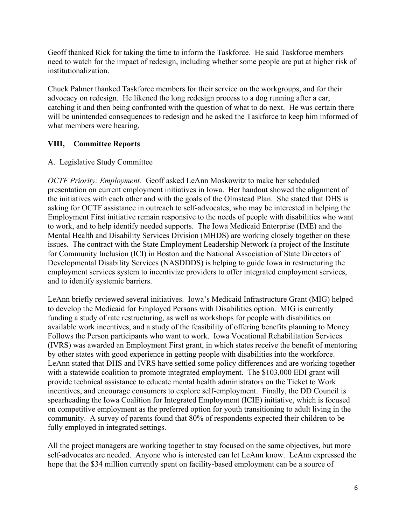Geoff thanked Rick for taking the time to inform the Taskforce. He said Taskforce members need to watch for the impact of redesign, including whether some people are put at higher risk of institutionalization.

Chuck Palmer thanked Taskforce members for their service on the workgroups, and for their advocacy on redesign. He likened the long redesign process to a dog running after a car, catching it and then being confronted with the question of what to do next. He was certain there will be unintended consequences to redesign and he asked the Taskforce to keep him informed of what members were hearing.

### **VIII, Committee Reports**

#### A. Legislative Study Committee

*OCTF Priority: Employment.* Geoff asked LeAnn Moskowitz to make her scheduled presentation on current employment initiatives in Iowa. Her handout showed the alignment of the initiatives with each other and with the goals of the Olmstead Plan. She stated that DHS is asking for OCTF assistance in outreach to self-advocates, who may be interested in helping the Employment First initiative remain responsive to the needs of people with disabilities who want to work, and to help identify needed supports. The Iowa Medicaid Enterprise (IME) and the Mental Health and Disability Services Division (MHDS) are working closely together on these issues. The contract with the State Employment Leadership Network (a project of the Institute for Community Inclusion (ICI) in Boston and the National Association of State Directors of Developmental Disability Services (NASDDDS) is helping to guide Iowa in restructuring the employment services system to incentivize providers to offer integrated employment services, and to identify systemic barriers.

LeAnn briefly reviewed several initiatives. Iowa's Medicaid Infrastructure Grant (MIG) helped to develop the Medicaid for Employed Persons with Disabilities option. MIG is currently funding a study of rate restructuring, as well as workshops for people with disabilities on available work incentives, and a study of the feasibility of offering benefits planning to Money Follows the Person participants who want to work. Iowa Vocational Rehabilitation Services (IVRS) was awarded an Employment First grant, in which states receive the benefit of mentoring by other states with good experience in getting people with disabilities into the workforce. LeAnn stated that DHS and IVRS have settled some policy differences and are working together with a statewide coalition to promote integrated employment. The \$103,000 EDI grant will provide technical assistance to educate mental health administrators on the Ticket to Work incentives, and encourage consumers to explore self-employment. Finally, the DD Council is spearheading the Iowa Coalition for Integrated Employment (ICIE) initiative, which is focused on competitive employment as the preferred option for youth transitioning to adult living in the community. A survey of parents found that 80% of respondents expected their children to be fully employed in integrated settings.

All the project managers are working together to stay focused on the same objectives, but more self-advocates are needed. Anyone who is interested can let LeAnn know. LeAnn expressed the hope that the \$34 million currently spent on facility-based employment can be a source of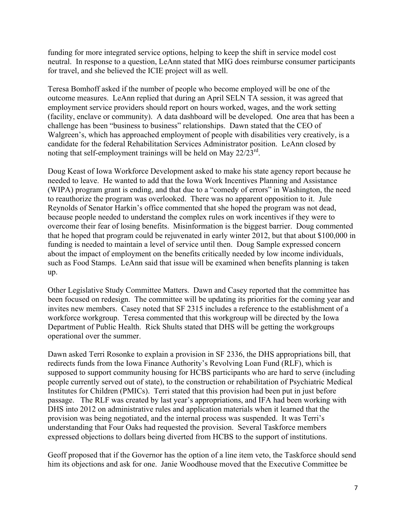funding for more integrated service options, helping to keep the shift in service model cost neutral. In response to a question, LeAnn stated that MIG does reimburse consumer participants for travel, and she believed the ICIE project will as well.

Teresa Bomhoff asked if the number of people who become employed will be one of the outcome measures. LeAnn replied that during an April SELN TA session, it was agreed that employment service providers should report on hours worked, wages, and the work setting (facility, enclave or community). A data dashboard will be developed. One area that has been a challenge has been "business to business" relationships. Dawn stated that the CEO of Walgreen's, which has approached employment of people with disabilities very creatively, is a candidate for the federal Rehabilitation Services Administrator position. LeAnn closed by noting that self-employment trainings will be held on May 22/23<sup>rd</sup>.

Doug Keast of Iowa Workforce Development asked to make his state agency report because he needed to leave. He wanted to add that the Iowa Work Incentives Planning and Assistance (WIPA) program grant is ending, and that due to a "comedy of errors" in Washington, the need to reauthorize the program was overlooked. There was no apparent opposition to it. Jule Reynolds of Senator Harkin's office commented that she hoped the program was not dead, because people needed to understand the complex rules on work incentives if they were to overcome their fear of losing benefits. Misinformation is the biggest barrier. Doug commented that he hoped that program could be rejuvenated in early winter 2012, but that about \$100,000 in funding is needed to maintain a level of service until then. Doug Sample expressed concern about the impact of employment on the benefits critically needed by low income individuals, such as Food Stamps. LeAnn said that issue will be examined when benefits planning is taken up.

Other Legislative Study Committee Matters. Dawn and Casey reported that the committee has been focused on redesign. The committee will be updating its priorities for the coming year and invites new members. Casey noted that SF 2315 includes a reference to the establishment of a workforce workgroup. Teresa commented that this workgroup will be directed by the Iowa Department of Public Health. Rick Shults stated that DHS will be getting the workgroups operational over the summer.

Dawn asked Terri Rosonke to explain a provision in SF 2336, the DHS appropriations bill, that redirects funds from the Iowa Finance Authority's Revolving Loan Fund (RLF), which is supposed to support community housing for HCBS participants who are hard to serve (including people currently served out of state), to the construction or rehabilitation of Psychiatric Medical Institutes for Children (PMICs). Terri stated that this provision had been put in just before passage. The RLF was created by last year's appropriations, and IFA had been working with DHS into 2012 on administrative rules and application materials when it learned that the provision was being negotiated, and the internal process was suspended. It was Terri's understanding that Four Oaks had requested the provision. Several Taskforce members expressed objections to dollars being diverted from HCBS to the support of institutions.

Geoff proposed that if the Governor has the option of a line item veto, the Taskforce should send him its objections and ask for one. Janie Woodhouse moved that the Executive Committee be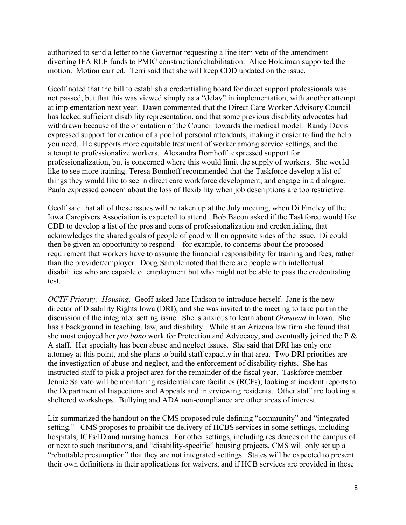authorized to send a letter to the Governor requesting a line item veto of the amendment diverting IFA RLF funds to PMIC construction/rehabilitation. Alice Holdiman supported the motion. Motion carried. Terri said that she will keep CDD updated on the issue.

Geoff noted that the bill to establish a credentialing board for direct support professionals was not passed, but that this was viewed simply as a "delay" in implementation, with another attempt at implementation next year. Dawn commented that the Direct Care Worker Advisory Council has lacked sufficient disability representation, and that some previous disability advocates had withdrawn because of the orientation of the Council towards the medical model. Randy Davis expressed support for creation of a pool of personal attendants, making it easier to find the help you need. He supports more equitable treatment of worker among service settings, and the attempt to professionalize workers. Alexandra Bomhoff expressed support for professionalization, but is concerned where this would limit the supply of workers. She would like to see more training. Teresa Bomhoff recommended that the Taskforce develop a list of things they would like to see in direct care workforce development, and engage in a dialogue. Paula expressed concern about the loss of flexibility when job descriptions are too restrictive.

Geoff said that all of these issues will be taken up at the July meeting, when Di Findley of the Iowa Caregivers Association is expected to attend. Bob Bacon asked if the Taskforce would like CDD to develop a list of the pros and cons of professionalization and credentialing, that acknowledges the shared goals of people of good will on opposite sides of the issue. Di could then be given an opportunity to respond—for example, to concerns about the proposed requirement that workers have to assume the financial responsibility for training and fees, rather than the provider/employer. Doug Sample noted that there are people with intellectual disabilities who are capable of employment but who might not be able to pass the credentialing test.

*OCTF Priority: Housing.* Geoff asked Jane Hudson to introduce herself. Jane is the new director of Disability Rights Iowa (DRI), and she was invited to the meeting to take part in the discussion of the integrated setting issue. She is anxious to learn about *Olmstead* in Iowa. She has a background in teaching, law, and disability. While at an Arizona law firm she found that she most enjoyed her *pro bono* work for Protection and Advocacy, and eventually joined the P & A staff. Her specialty has been abuse and neglect issues. She said that DRI has only one attorney at this point, and she plans to build staff capacity in that area. Two DRI priorities are the investigation of abuse and neglect, and the enforcement of disability rights. She has instructed staff to pick a project area for the remainder of the fiscal year. Taskforce member Jennie Salvato will be monitoring residential care facilities (RCFs), looking at incident reports to the Department of Inspections and Appeals and interviewing residents. Other staff are looking at sheltered workshops. Bullying and ADA non-compliance are other areas of interest.

Liz summarized the handout on the CMS proposed rule defining "community" and "integrated setting." CMS proposes to prohibit the delivery of HCBS services in some settings, including hospitals, ICFs/ID and nursing homes. For other settings, including residences on the campus of or next to such institutions, and "disability-specific" housing projects, CMS will only set up a "rebuttable presumption" that they are not integrated settings. States will be expected to present their own definitions in their applications for waivers, and if HCB services are provided in these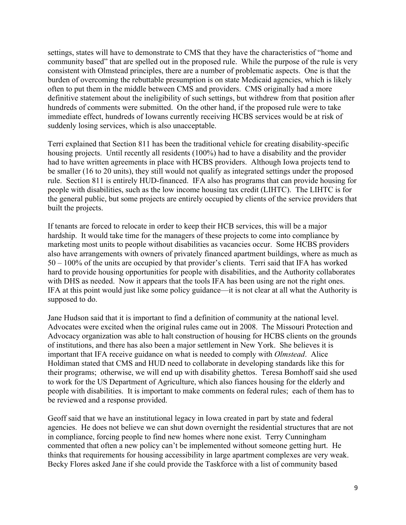settings, states will have to demonstrate to CMS that they have the characteristics of "home and community based" that are spelled out in the proposed rule. While the purpose of the rule is very consistent with Olmstead principles, there are a number of problematic aspects. One is that the burden of overcoming the rebuttable presumption is on state Medicaid agencies, which is likely often to put them in the middle between CMS and providers. CMS originally had a more definitive statement about the ineligibility of such settings, but withdrew from that position after hundreds of comments were submitted. On the other hand, if the proposed rule were to take immediate effect, hundreds of Iowans currently receiving HCBS services would be at risk of suddenly losing services, which is also unacceptable.

Terri explained that Section 811 has been the traditional vehicle for creating disability-specific housing projects. Until recently all residents (100%) had to have a disability and the provider had to have written agreements in place with HCBS providers. Although Iowa projects tend to be smaller (16 to 20 units), they still would not qualify as integrated settings under the proposed rule. Section 811 is entirely HUD-financed. IFA also has programs that can provide housing for people with disabilities, such as the low income housing tax credit (LIHTC). The LIHTC is for the general public, but some projects are entirely occupied by clients of the service providers that built the projects.

If tenants are forced to relocate in order to keep their HCB services, this will be a major hardship. It would take time for the managers of these projects to come into compliance by marketing most units to people without disabilities as vacancies occur. Some HCBS providers also have arrangements with owners of privately financed apartment buildings, where as much as 50 – 100% of the units are occupied by that provider's clients. Terri said that IFA has worked hard to provide housing opportunities for people with disabilities, and the Authority collaborates with DHS as needed. Now it appears that the tools IFA has been using are not the right ones. IFA at this point would just like some policy guidance—it is not clear at all what the Authority is supposed to do.

Jane Hudson said that it is important to find a definition of community at the national level. Advocates were excited when the original rules came out in 2008. The Missouri Protection and Advocacy organization was able to halt construction of housing for HCBS clients on the grounds of institutions, and there has also been a major settlement in New York. She believes it is important that IFA receive guidance on what is needed to comply with *Olmstead*. Alice Holdiman stated that CMS and HUD need to collaborate in developing standards like this for their programs; otherwise, we will end up with disability ghettos. Teresa Bomhoff said she used to work for the US Department of Agriculture, which also fiances housing for the elderly and people with disabilities. It is important to make comments on federal rules; each of them has to be reviewed and a response provided.

Geoff said that we have an institutional legacy in Iowa created in part by state and federal agencies. He does not believe we can shut down overnight the residential structures that are not in compliance, forcing people to find new homes where none exist. Terry Cunningham commented that often a new policy can't be implemented without someone getting hurt. He thinks that requirements for housing accessibility in large apartment complexes are very weak. Becky Flores asked Jane if she could provide the Taskforce with a list of community based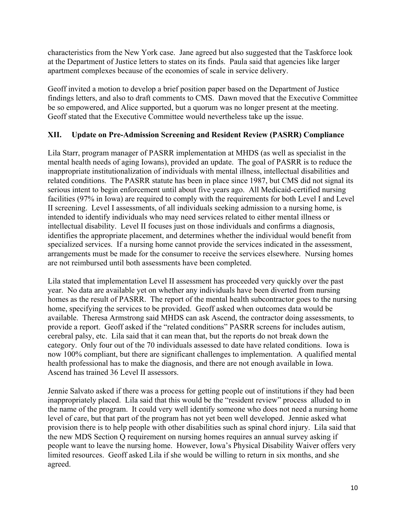characteristics from the New York case. Jane agreed but also suggested that the Taskforce look at the Department of Justice letters to states on its finds. Paula said that agencies like larger apartment complexes because of the economies of scale in service delivery.

Geoff invited a motion to develop a brief position paper based on the Department of Justice findings letters, and also to draft comments to CMS. Dawn moved that the Executive Committee be so empowered, and Alice supported, but a quorum was no longer present at the meeting. Geoff stated that the Executive Committee would nevertheless take up the issue.

### **XII. Update on Pre-Admission Screening and Resident Review (PASRR) Compliance**

Lila Starr, program manager of PASRR implementation at MHDS (as well as specialist in the mental health needs of aging Iowans), provided an update. The goal of PASRR is to reduce the inappropriate institutionalization of individuals with mental illness, intellectual disabilities and related conditions. The PASRR statute has been in place since 1987, but CMS did not signal its serious intent to begin enforcement until about five years ago. All Medicaid-certified nursing facilities (97% in Iowa) are required to comply with the requirements for both Level I and Level II screening. Level I assessments, of all individuals seeking admission to a nursing home, is intended to identify individuals who may need services related to either mental illness or intellectual disability. Level II focuses just on those individuals and confirms a diagnosis, identifies the appropriate placement, and determines whether the individual would benefit from specialized services. If a nursing home cannot provide the services indicated in the assessment, arrangements must be made for the consumer to receive the services elsewhere. Nursing homes are not reimbursed until both assessments have been completed.

Lila stated that implementation Level II assessment has proceeded very quickly over the past year. No data are available yet on whether any individuals have been diverted from nursing homes as the result of PASRR. The report of the mental health subcontractor goes to the nursing home, specifying the services to be provided. Geoff asked when outcomes data would be available. Theresa Armstrong said MHDS can ask Ascend, the contractor doing assessments, to provide a report. Geoff asked if the "related conditions" PASRR screens for includes autism, cerebral palsy, etc. Lila said that it can mean that, but the reports do not break down the category. Only four out of the 70 individuals assessed to date have related conditions. Iowa is now 100% compliant, but there are significant challenges to implementation. A qualified mental health professional has to make the diagnosis, and there are not enough available in Iowa. Ascend has trained 36 Level II assessors.

Jennie Salvato asked if there was a process for getting people out of institutions if they had been inappropriately placed. Lila said that this would be the "resident review" process alluded to in the name of the program. It could very well identify someone who does not need a nursing home level of care, but that part of the program has not yet been well developed. Jennie asked what provision there is to help people with other disabilities such as spinal chord injury. Lila said that the new MDS Section Q requirement on nursing homes requires an annual survey asking if people want to leave the nursing home. However, Iowa's Physical Disability Waiver offers very limited resources. Geoff asked Lila if she would be willing to return in six months, and she agreed.